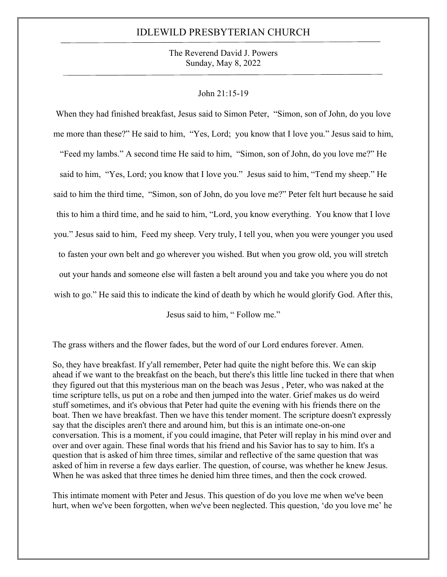The Reverend David J. Powers Sunday, May 8, 2022

#### John 21:15-19

When they had finished breakfast, Jesus said to Simon Peter, "Simon, son of John, do you love me more than these?" He said to him, "Yes, Lord; you know that I love you." Jesus said to him, "Feed my lambs." A second time He said to him, "Simon, son of John, do you love me?" He said to him, "Yes, Lord; you know that I love you." Jesus said to him, "Tend my sheep." He said to him the third time, "Simon, son of John, do you love me?" Peter felt hurt because he said this to him a third time, and he said to him, "Lord, you know everything. You know that I love you." Jesus said to him, Feed my sheep. Very truly, I tell you, when you were younger you used to fasten your own belt and go wherever you wished. But when you grow old, you will stretch out your hands and someone else will fasten a belt around you and take you where you do not wish to go." He said this to indicate the kind of death by which he would glorify God. After this,

Jesus said to him, " Follow me."

The grass withers and the flower fades, but the word of our Lord endures forever. Amen.

So, they have breakfast. If y'all remember, Peter had quite the night before this. We can skip ahead if we want to the breakfast on the beach, but there's this little line tucked in there that when they figured out that this mysterious man on the beach was Jesus , Peter, who was naked at the time scripture tells, us put on a robe and then jumped into the water. Grief makes us do weird stuff sometimes, and it's obvious that Peter had quite the evening with his friends there on the boat. Then we have breakfast. Then we have this tender moment. The scripture doesn't expressly say that the disciples aren't there and around him, but this is an intimate one-on-one conversation. This is a moment, if you could imagine, that Peter will replay in his mind over and over and over again. These final words that his friend and his Savior has to say to him. It's a question that is asked of him three times, similar and reflective of the same question that was asked of him in reverse a few days earlier. The question, of course, was whether he knew Jesus. When he was asked that three times he denied him three times, and then the cock crowed.

This intimate moment with Peter and Jesus. This question of do you love me when we've been hurt, when we've been forgotten, when we've been neglected. This question, 'do you love me' he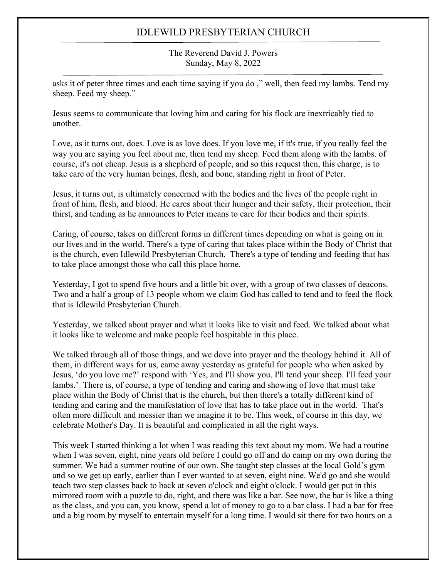The Reverend David J. Powers Sunday, May 8, 2022

asks it of peter three times and each time saying if you do ," well, then feed my lambs. Tend my sheep. Feed my sheep."

Jesus seems to communicate that loving him and caring for his flock are inextricably tied to another.

Love, as it turns out, does. Love is as love does. If you love me, if it's true, if you really feel the way you are saying you feel about me, then tend my sheep. Feed them along with the lambs. of course, it's not cheap. Jesus is a shepherd of people, and so this request then, this charge, is to take care of the very human beings, flesh, and bone, standing right in front of Peter.

Jesus, it turns out, is ultimately concerned with the bodies and the lives of the people right in front of him, flesh, and blood. He cares about their hunger and their safety, their protection, their thirst, and tending as he announces to Peter means to care for their bodies and their spirits.

Caring, of course, takes on different forms in different times depending on what is going on in our lives and in the world. There's a type of caring that takes place within the Body of Christ that is the church, even Idlewild Presbyterian Church. There's a type of tending and feeding that has to take place amongst those who call this place home.

Yesterday, I got to spend five hours and a little bit over, with a group of two classes of deacons. Two and a half a group of 13 people whom we claim God has called to tend and to feed the flock that is Idlewild Presbyterian Church.

Yesterday, we talked about prayer and what it looks like to visit and feed. We talked about what it looks like to welcome and make people feel hospitable in this place.

We talked through all of those things, and we dove into prayer and the theology behind it. All of them, in different ways for us, came away yesterday as grateful for people who when asked by Jesus, 'do you love me?' respond with 'Yes, and I'll show you. I'll tend your sheep. I'll feed your lambs.' There is, of course, a type of tending and caring and showing of love that must take place within the Body of Christ that is the church, but then there's a totally different kind of tending and caring and the manifestation of love that has to take place out in the world. That's often more difficult and messier than we imagine it to be. This week, of course in this day, we celebrate Mother's Day. It is beautiful and complicated in all the right ways.

This week I started thinking a lot when I was reading this text about my mom. We had a routine when I was seven, eight, nine years old before I could go off and do camp on my own during the summer. We had a summer routine of our own. She taught step classes at the local Gold's gym and so we get up early, earlier than I ever wanted to at seven, eight nine. We'd go and she would teach two step classes back to back at seven o'clock and eight o'clock. I would get put in this mirrored room with a puzzle to do, right, and there was like a bar. See now, the bar is like a thing as the class, and you can, you know, spend a lot of money to go to a bar class. I had a bar for free and a big room by myself to entertain myself for a long time. I would sit there for two hours on a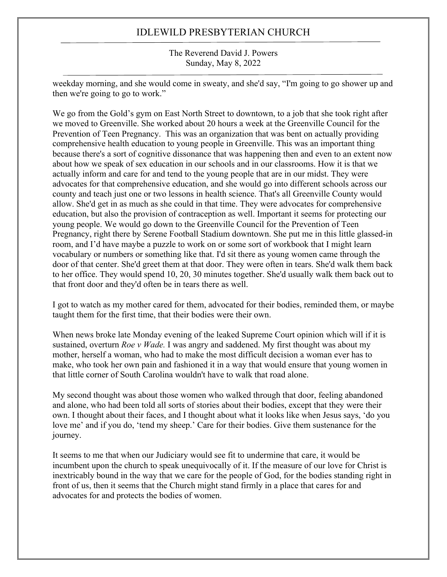The Reverend David J. Powers Sunday, May 8, 2022

weekday morning, and she would come in sweaty, and she'd say, "I'm going to go shower up and then we're going to go to work."

We go from the Gold's gym on East North Street to downtown, to a job that she took right after we moved to Greenville. She worked about 20 hours a week at the Greenville Council for the Prevention of Teen Pregnancy. This was an organization that was bent on actually providing comprehensive health education to young people in Greenville. This was an important thing because there's a sort of cognitive dissonance that was happening then and even to an extent now about how we speak of sex education in our schools and in our classrooms. How it is that we actually inform and care for and tend to the young people that are in our midst. They were advocates for that comprehensive education, and she would go into different schools across our county and teach just one or two lessons in health science. That's all Greenville County would allow. She'd get in as much as she could in that time. They were advocates for comprehensive education, but also the provision of contraception as well. Important it seems for protecting our young people. We would go down to the Greenville Council for the Prevention of Teen Pregnancy, right there by Serene Football Stadium downtown. She put me in this little glassed-in room, and I'd have maybe a puzzle to work on or some sort of workbook that I might learn vocabulary or numbers or something like that. I'd sit there as young women came through the door of that center. She'd greet them at that door. They were often in tears. She'd walk them back to her office. They would spend 10, 20, 30 minutes together. She'd usually walk them back out to that front door and they'd often be in tears there as well.

I got to watch as my mother cared for them, advocated for their bodies, reminded them, or maybe taught them for the first time, that their bodies were their own.

When news broke late Monday evening of the leaked Supreme Court opinion which will if it is sustained, overturn *Roe v Wade.* I was angry and saddened. My first thought was about my mother, herself a woman, who had to make the most difficult decision a woman ever has to make, who took her own pain and fashioned it in a way that would ensure that young women in that little corner of South Carolina wouldn't have to walk that road alone.

My second thought was about those women who walked through that door, feeling abandoned and alone, who had been told all sorts of stories about their bodies, except that they were their own. I thought about their faces, and I thought about what it looks like when Jesus says, 'do you love me' and if you do, 'tend my sheep.' Care for their bodies. Give them sustenance for the journey.

It seems to me that when our Judiciary would see fit to undermine that care, it would be incumbent upon the church to speak unequivocally of it. If the measure of our love for Christ is inextricably bound in the way that we care for the people of God, for the bodies standing right in front of us, then it seems that the Church might stand firmly in a place that cares for and advocates for and protects the bodies of women.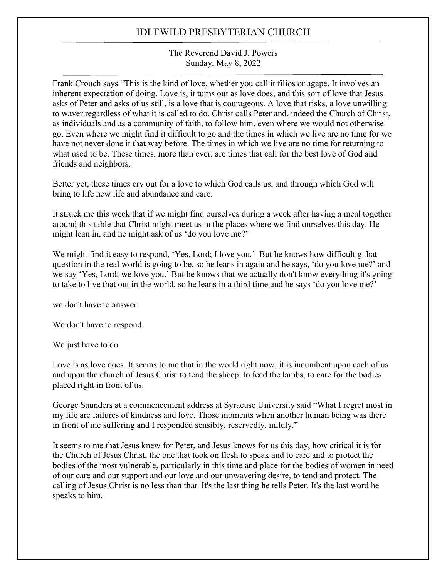#### The Reverend David J. Powers Sunday, May 8, 2022

Frank Crouch says "This is the kind of love, whether you call it filios or agape. It involves an inherent expectation of doing. Love is, it turns out as love does, and this sort of love that Jesus asks of Peter and asks of us still, is a love that is courageous. A love that risks, a love unwilling to waver regardless of what it is called to do. Christ calls Peter and, indeed the Church of Christ, as individuals and as a community of faith, to follow him, even where we would not otherwise go. Even where we might find it difficult to go and the times in which we live are no time for we have not never done it that way before. The times in which we live are no time for returning to what used to be. These times, more than ever, are times that call for the best love of God and friends and neighbors.

Better yet, these times cry out for a love to which God calls us, and through which God will bring to life new life and abundance and care.

It struck me this week that if we might find ourselves during a week after having a meal together around this table that Christ might meet us in the places where we find ourselves this day. He might lean in, and he might ask of us 'do you love me?'

We might find it easy to respond, 'Yes, Lord; I love you.' But he knows how difficult g that question in the real world is going to be, so he leans in again and he says, 'do you love me?' and we say 'Yes, Lord; we love you.' But he knows that we actually don't know everything it's going to take to live that out in the world, so he leans in a third time and he says 'do you love me?'

we don't have to answer.

We don't have to respond.

We just have to do

Love is as love does. It seems to me that in the world right now, it is incumbent upon each of us and upon the church of Jesus Christ to tend the sheep, to feed the lambs, to care for the bodies placed right in front of us.

George Saunders at a commencement address at Syracuse University said "What I regret most in my life are failures of kindness and love. Those moments when another human being was there in front of me suffering and I responded sensibly, reservedly, mildly."

It seems to me that Jesus knew for Peter, and Jesus knows for us this day, how critical it is for the Church of Jesus Christ, the one that took on flesh to speak and to care and to protect the bodies of the most vulnerable, particularly in this time and place for the bodies of women in need of our care and our support and our love and our unwavering desire, to tend and protect. The calling of Jesus Christ is no less than that. It's the last thing he tells Peter. It's the last word he speaks to him.